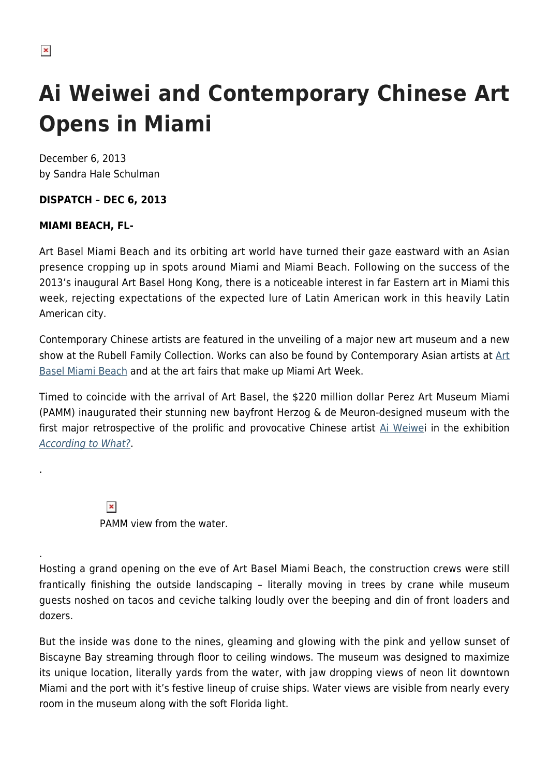## **Ai Weiwei and Contemporary Chinese Art Opens in Miami**

December 6, 2013 by Sandra Hale Schulman

## **DISPATCH – DEC 6, 2013**

## **MIAMI BEACH, FL-**

Art Basel Miami Beach and its orbiting art world have turned their gaze eastward with an Asian presence cropping up in spots around Miami and Miami Beach. Following on the success of the 2013's inaugural Art Basel Hong Kong, there is a noticeable interest in far Eastern art in Miami this week, rejecting expectations of the expected lure of Latin American work in this heavily Latin American city.

Contemporary Chinese artists are featured in the unveiling of a major new art museum and a new show at the Rubell Family Collection. Works can also be found by Contemporary Asian artists at [Art](https://www.artbasel.com/en/miami-beach) [Basel Miami Beach](https://www.artbasel.com/en/miami-beach) and at the art fairs that make up Miami Art Week.

Timed to coincide with the arrival of Art Basel, the \$220 million dollar Perez Art Museum Miami (PAMM) inaugurated their stunning new bayfront Herzog & de Meuron-designed museum with the first major retrospective of the prolific and provocative Chinese artist [Ai Weiwei](http://en.wikipedia.org/wiki/Ai_Weiwei) in the exhibition [According to What?](http://www.pamm.org/exhibitions/ai-weiwei-according-what).

> $\pmb{\times}$ PAMM view from the water.

Hosting a grand opening on the eve of Art Basel Miami Beach, the construction crews were still frantically finishing the outside landscaping – literally moving in trees by crane while museum guests noshed on tacos and ceviche talking loudly over the beeping and din of front loaders and dozers.

But the inside was done to the nines, gleaming and glowing with the pink and yellow sunset of Biscayne Bay streaming through floor to ceiling windows. The museum was designed to maximize its unique location, literally yards from the water, with jaw dropping views of neon lit downtown Miami and the port with it's festive lineup of cruise ships. Water views are visible from nearly every room in the museum along with the soft Florida light.

.

.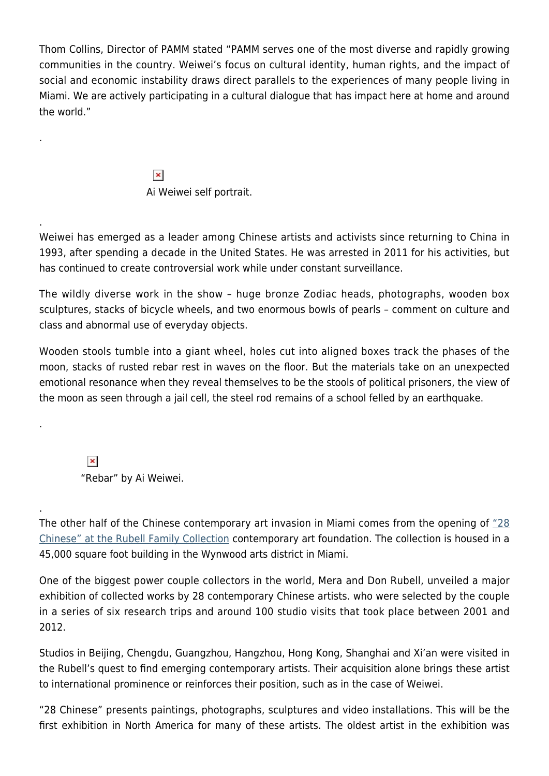Thom Collins, Director of PAMM stated "PAMM serves one of the most diverse and rapidly growing communities in the country. Weiwei's focus on cultural identity, human rights, and the impact of social and economic instability draws direct parallels to the experiences of many people living in Miami. We are actively participating in a cultural dialogue that has impact here at home and around the world."

> $\pmb{\times}$ Ai Weiwei self portrait.

Weiwei has emerged as a leader among Chinese artists and activists since returning to China in 1993, after spending a decade in the United States. He was arrested in 2011 for his activities, but has continued to create controversial work while under constant surveillance.

The wildly diverse work in the show – huge bronze Zodiac heads, photographs, wooden box sculptures, stacks of bicycle wheels, and two enormous bowls of pearls – comment on culture and class and abnormal use of everyday objects.

Wooden stools tumble into a giant wheel, holes cut into aligned boxes track the phases of the moon, stacks of rusted rebar rest in waves on the floor. But the materials take on an unexpected emotional resonance when they reveal themselves to be the stools of political prisoners, the view of the moon as seen through a jail cell, the steel rod remains of a school felled by an earthquake.

 $\pmb{\times}$ "Rebar" by Ai Weiwei.

.

.

.

.

The other half of the Chinese contemporary art invasion in Miami comes from the opening of ["28](http://rfc.museum/) [Chinese" at the Rubell Family Collection](http://rfc.museum/) contemporary art foundation. The collection is housed in a 45,000 square foot building in the Wynwood arts district in Miami.

One of the biggest power couple collectors in the world, Mera and Don Rubell, unveiled a major exhibition of collected works by 28 contemporary Chinese artists. who were selected by the couple in a series of six research trips and around 100 studio visits that took place between 2001 and 2012.

Studios in Beijing, Chengdu, Guangzhou, Hangzhou, Hong Kong, Shanghai and Xi'an were visited in the Rubell's quest to find emerging contemporary artists. Their acquisition alone brings these artist to international prominence or reinforces their position, such as in the case of Weiwei.

"28 Chinese" presents paintings, photographs, sculptures and video installations. This will be the first exhibition in North America for many of these artists. The oldest artist in the exhibition was